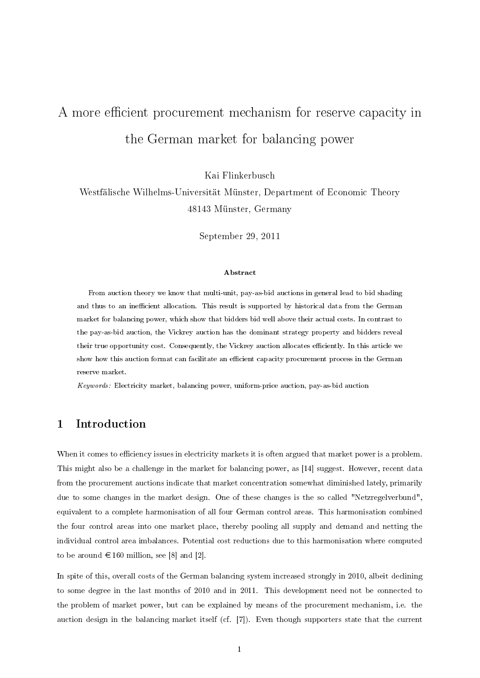# A more efficient procurement mechanism for reserve capacity in the German market for balancing power

Kai Flinkerbusch

Westfälische Wilhelms-Universität Münster, Department of Economic Theory 48143 Münster, Germany

September 29, 2011

#### Abstract

From auction theory we know that multi-unit, pay-as-bid auctions in general lead to bid shading and thus to an inefficient allocation. This result is supported by historical data from the German market for balancing power, which show that bidders bid well above their actual costs. In contrast to the pay-as-bid auction, the Vickrey auction has the dominant strategy property and bidders reveal their true opportunity cost. Consequently, the Vickrey auction allocates efficiently. In this article we show how this auction format can facilitate an efficient capacity procurement process in the German reserve market.

Keywords: Electricity market, balancing power, uniform-price auction, pay-as-bid auction

## 1 Introduction

When it comes to efficiency issues in electricity markets it is often argued that market power is a problem. This might also be a challenge in the market for balancing power, as [14] suggest. However, recent data from the procurement auctions indicate that market concentration somewhat diminished lately, primarily due to some changes in the market design. One of these changes is the so called "Netzregelverbund", equivalent to a complete harmonisation of all four German control areas. This harmonisation combined the four control areas into one market place, thereby pooling all supply and demand and netting the individual control area imbalances. Potential cost reductions due to this harmonisation where computed to be around  $\in$  160 million, see [8] and [2].

In spite of this, overall costs of the German balancing system increased strongly in 2010, albeit declining to some degree in the last months of 2010 and in 2011. This development need not be connected to the problem of market power, but can be explained by means of the procurement mechanism, i.e. the auction design in the balancing market itself (cf. [7]). Even though supporters state that the current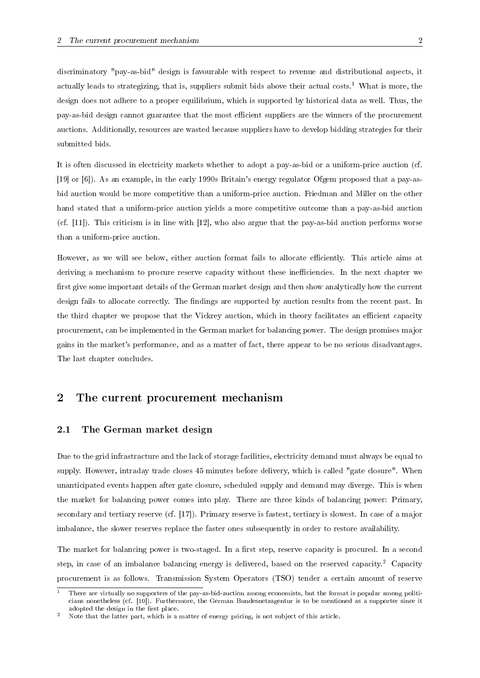discriminatory "pay-as-bid" design is favourable with respect to revenue and distributional aspects, it actually leads to strategizing, that is, suppliers submit bids above their actual costs.<sup>1</sup> What is more, the design does not adhere to a proper equilibrium, which is supported by historical data as well. Thus, the pay-as-bid design cannot guarantee that the most efficient suppliers are the winners of the procurement auctions. Additionally, resources are wasted because suppliers have to develop bidding strategies for their submitted bids.

It is often discussed in electricity markets whether to adopt a pay-as-bid or a uniform-price auction (cf. [19] or [6]). As an example, in the early 1990s Britain's energy regulator Ofgem proposed that a pay-asbid auction would be more competitive than a uniform-price auction. Friedman and Miller on the other hand stated that a uniform-price auction yields a more competitive outcome than a pay-as-bid auction (cf. [11]). This criticism is in line with [12], who also argue that the pay-as-bid auction performs worse than a uniform-price auction.

However, as we will see below, either auction format fails to allocate efficiently. This article aims at deriving a mechanism to procure reserve capacity without these inefficiencies. In the next chapter we first give some important details of the German market design and then show analytically how the current design fails to allocate correctly. The findings are supported by auction results from the recent past. In the third chapter we propose that the Vickrey auction, which in theory facilitates an efficient capacity procurement, can be implemented in the German market for balancing power. The design promises major gains in the market's performance, and as a matter of fact, there appear to be no serious disadvantages. The last chapter concludes.

# 2 The current procurement mechanism

## 2.1 The German market design

Due to the grid infrastracture and the lack of storage facilities, electricity demand must always be equal to supply. However, intraday trade closes 45 minutes before delivery, which is called "gate closure". When unanticipated events happen after gate closure, scheduled supply and demand may diverge. This is when the market for balancing power comes into play. There are three kinds of balancing power: Primary, secondary and tertiary reserve (cf. [17]). Primary reserve is fastest, tertiary is slowest. In case of a major imbalance, the slower reserves replace the faster ones subsequently in order to restore availability.

The market for balancing power is two-staged. In a first step, reserve capacity is procured. In a second step, in case of an imbalance balancing energy is delivered, based on the reserved capacity.<sup>2</sup> Capacity procurement is as follows. Transmission System Operators (TSO) tender a certain amount of reserve

<sup>1</sup> There are virtually no supporters of the pay-as-bid-auction among economists, but the format is popular among politicians nonetheless (cf. [10]). Furthermore, the German Bundesnetzagentur is to be mentioned as a supporter since it adopted the design in the first place.

<sup>2</sup> Note that the latter part, which is a matter of energy pricing, is not subject of this article.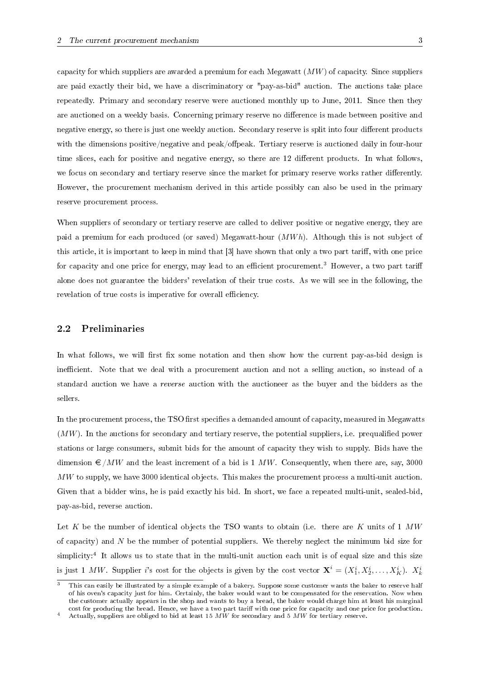capacity for which suppliers are awarded a premium for each Megawatt  $(MW)$  of capacity. Since suppliers are paid exactly their bid, we have a discriminatory or "pay-as-bid" auction. The auctions take place repeatedly. Primary and secondary reserve were auctioned monthly up to June, 2011. Since then they are auctioned on a weekly basis. Concerning primary reserve no difference is made between positive and negative energy, so there is just one weekly auction. Secondary reserve is split into four different products with the dimensions positive/negative and peak/offpeak. Tertiary reserve is auctioned daily in four-hour time slices, each for positive and negative energy, so there are 12 different products. In what follows, we focus on secondary and tertiary reserve since the market for primary reserve works rather differently. However, the procurement mechanism derived in this article possibly can also be used in the primary reserve procurement process.

When suppliers of secondary or tertiary reserve are called to deliver positive or negative energy, they are paid a premium for each produced (or saved) Megawatt-hour  $(MWh)$ . Although this is not subject of this article, it is important to keep in mind that [3] have shown that only a two part tariff, with one price for capacity and one price for energy, may lead to an efficient procurement.<sup>3</sup> However, a two part tariff alone does not guarantee the bidders' revelation of their true costs. As we will see in the following, the revelation of true costs is imperative for overall efficiency.

#### 2.2 Preliminaries

In what follows, we will first fix some notation and then show how the current pay-as-bid design is inefficient. Note that we deal with a procurement auction and not a selling auction, so instead of a standard auction we have a reverse auction with the auctioneer as the buyer and the bidders as the sellers.

In the procurement process, the TSO first specifies a demanded amount of capacity, measured in Megawatts  $(MW)$ . In the auctions for secondary and tertiary reserve, the potential suppliers, i.e. prequalified power stations or large consumers, submit bids for the amount of capacity they wish to supply. Bids have the dimension  $\epsilon / MW$  and the least increment of a bid is 1 MW. Consequently, when there are, say, 3000 MW to supply, we have 3000 identical objects. This makes the procurement process a multi-unit auction. Given that a bidder wins, he is paid exactly his bid. In short, we face a repeated multi-unit, sealed-bid, pay-as-bid, reverse auction.

Let K be the number of identical objects the TSO wants to obtain (i.e. there are K units of  $1 M W$ of capacity) and  $N$  be the number of potential suppliers. We thereby neglect the minimum bid size for simplicity:<sup>4</sup> It allows us to state that in the multi-unit auction each unit is of equal size and this size is just 1 MW. Supplier i's cost for the objects is given by the cost vector  $\mathbf{X}^i = (X_1^i, X_2^i, \ldots, X_K^i)$ .  $X_k^i$ 

This can easily be illustrated by a simple example of a bakery. Suppose some customer wants the baker to reserve half of his oven's capacity just for him. Certainly, the baker would want to be compensated for the reservation. Now when the customer actually appears in the shop and wants to buy a bread, the baker would charge him at least his marginal cost for producing the bread. Hence, we have a two part tariff with one price for capacity and one price for production.

Actually, suppliers are obliged to bid at least 15 MW for secondary and 5 MW for tertiary reserve.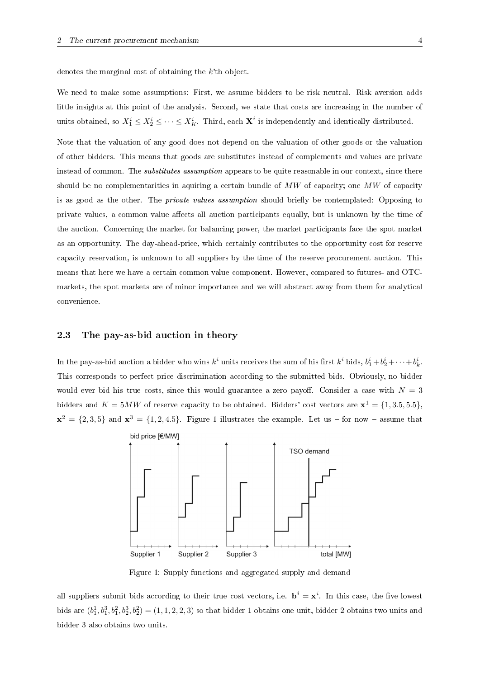denotes the marginal cost of obtaining the k'th object.

We need to make some assumptions: First, we assume bidders to be risk neutral. Risk aversion adds little insights at this point of the analysis. Second, we state that costs are increasing in the number of units obtained, so  $X_1^i \leq X_2^i \leq \cdots \leq X_K^i$ . Third, each  $\mathbf{X}^i$  is independently and identically distributed.

Note that the valuation of any good does not depend on the valuation of other goods or the valuation of other bidders. This means that goods are substitutes instead of complements and values are private instead of common. The *substitutes assumption* appears to be quite reasonable in our context, since there should be no complementarities in aquiring a certain bundle of  $MW$  of capacity; one  $MW$  of capacity is as good as the other. The *private values assumption* should briefly be contemplated: Opposing to private values, a common value affects all auction participants equally, but is unknown by the time of the auction. Concerning the market for balancing power, the market participants face the spot market as an opportunity. The day-ahead-price, which certainly contributes to the opportunity cost for reserve capacity reservation, is unknown to all suppliers by the time of the reserve procurement auction. This means that here we have a certain common value component. However, compared to futures- and OTCmarkets, the spot markets are of minor importance and we will abstract away from them for analytical convenience.

#### 2.3 The pay-as-bid auction in theory

In the pay-as-bid auction a bidder who wins  $k^i$  units receives the sum of his first  $k^i$  bids,  $b_1^i+b_2^i+\cdots+b_k^i$ . This corresponds to perfect price discrimination according to the submitted bids. Obviously, no bidder would ever bid his true costs, since this would guarantee a zero payoff. Consider a case with  $N = 3$ bidders and  $K = 5MW$  of reserve capacity to be obtained. Bidders' cost vectors are  $\mathbf{x}^1 = \{1, 3.5, 5.5\}$ ,  $\mathbf{x}^2 = \{2,3,5\}$  and  $\mathbf{x}^3 = \{1,2,4.5\}$ . Figure 1 illustrates the example. Let us – for now – assume that



Figure 1: Supply functions and aggregated supply and demand

all suppliers submit bids according to their true cost vectors, i.e.  $\mathbf{b}^i = \mathbf{x}^i$ . In this case, the five lowest bids are  $(b_1^1, b_1^3, b_1^2, b_2^3, b_2^2) = (1, 1, 2, 2, 3)$  so that bidder 1 obtains one unit, bidder 2 obtains two units and bidder 3 also obtains two units.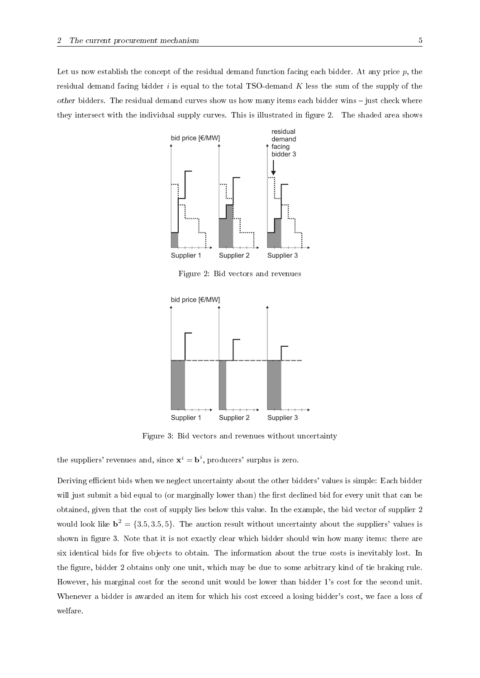Let us now establish the concept of the residual demand function facing each bidder. At any price  $p$ , the residual demand facing bidder  $i$  is equal to the total TSO-demand  $K$  less the sum of the supply of the other bidders. The residual demand curves show us how many items each bidder wins  $-$  just check where they intersect with the individual supply curves. This is illustrated in figure 2. The shaded area shows



Figure 2: Bid vectors and revenues



Figure 3: Bid vectors and revenues without uncertainty

the suppliers' revenues and, since  $\mathbf{x}^i = \mathbf{b}^i$ , producers' surplus is zero.

Deriving efficient bids when we neglect uncertainty about the other bidders' values is simple: Each bidder will just submit a bid equal to (or marginally lower than) the first declined bid for every unit that can be obtained, given that the cost of supply lies below this value. In the example, the bid vector of supplier 2 would look like  $\mathbf{b}^2 = \{3.5, 3.5, 5\}$ . The auction result without uncertainty about the suppliers' values is shown in figure 3. Note that it is not exactly clear which bidder should win how many items: there are six identical bids for five objects to obtain. The information about the true costs is inevitably lost. In the gure, bidder 2 obtains only one unit, which may be due to some arbitrary kind of tie braking rule. However, his marginal cost for the second unit would be lower than bidder 1's cost for the second unit. Whenever a bidder is awarded an item for which his cost exceed a losing bidder's cost, we face a loss of welfare.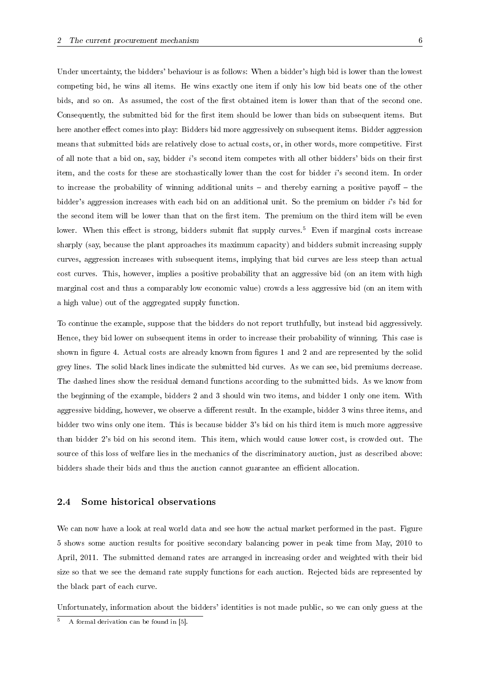Under uncertainty, the bidders' behaviour is as follows: When a bidder's high bid is lower than the lowest competing bid, he wins all items. He wins exactly one item if only his low bid beats one of the other bids, and so on. As assumed, the cost of the first obtained item is lower than that of the second one. Consequently, the submitted bid for the first item should be lower than bids on subsequent items. But here another effect comes into play: Bidders bid more aggressively on subsequent items. Bidder aggression means that submitted bids are relatively close to actual costs, or, in other words, more competitive. First of all note that a bid on, say, bidder  $i$ 's second item competes with all other bidders' bids on their first item, and the costs for these are stochastically lower than the cost for bidder i's second item. In order to increase the probability of winning additional units  $-$  and thereby earning a positive payoff  $-$  the bidder's aggression increases with each bid on an additional unit. So the premium on bidder i's bid for the second item will be lower than that on the first item. The premium on the third item will be even lower. When this effect is strong, bidders submit flat supply curves.<sup>5</sup> Even if marginal costs increase sharply (say, because the plant approaches its maximum capacity) and bidders submit increasing supply curves, aggression increases with subsequent items, implying that bid curves are less steep than actual cost curves. This, however, implies a positive probability that an aggressive bid (on an item with high marginal cost and thus a comparably low economic value) crowds a less aggressive bid (on an item with a high value) out of the aggregated supply function.

To continue the example, suppose that the bidders do not report truthfully, but instead bid aggressively. Hence, they bid lower on subsequent items in order to increase their probability of winning. This case is shown in figure 4. Actual costs are already known from figures 1 and 2 and are represented by the solid grey lines. The solid black lines indicate the submitted bid curves. As we can see, bid premiums decrease. The dashed lines show the residual demand functions according to the submitted bids. As we know from the beginning of the example, bidders 2 and 3 should win two items, and bidder 1 only one item. With aggressive bidding, however, we observe a different result. In the example, bidder 3 wins three items, and bidder two wins only one item. This is because bidder 3's bid on his third item is much more aggressive than bidder 2's bid on his second item. This item, which would cause lower cost, is crowded out. The source of this loss of welfare lies in the mechanics of the discriminatory auction, just as described above: bidders shade their bids and thus the auction cannot guarantee an efficient allocation.

### 2.4 Some historical observations

We can now have a look at real world data and see how the actual market performed in the past. Figure 5 shows some auction results for positive secondary balancing power in peak time from May, 2010 to April, 2011. The submitted demand rates are arranged in increasing order and weighted with their bid size so that we see the demand rate supply functions for each auction. Rejected bids are represented by the black part of each curve.

Unfortunately, information about the bidders' identities is not made public, so we can only guess at the

 $5$  A formal derivation can be found in [5].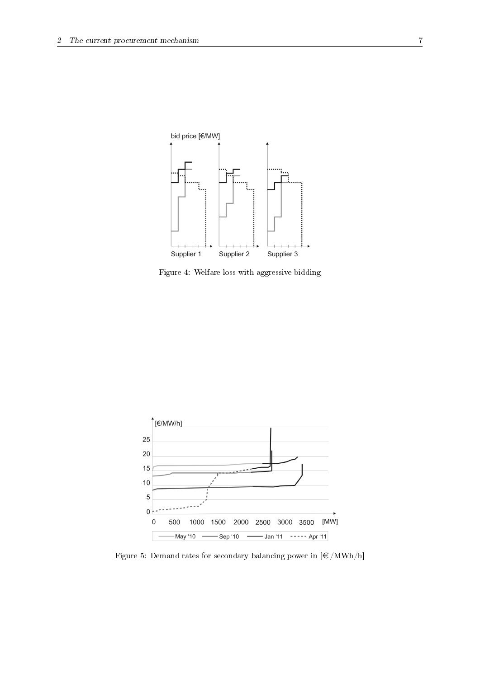

Figure 4: Welfare loss with aggressive bidding



Figure 5: Demand rates for secondary balancing power in  $\lfloor \epsilon / \text{MWh/h} \rfloor$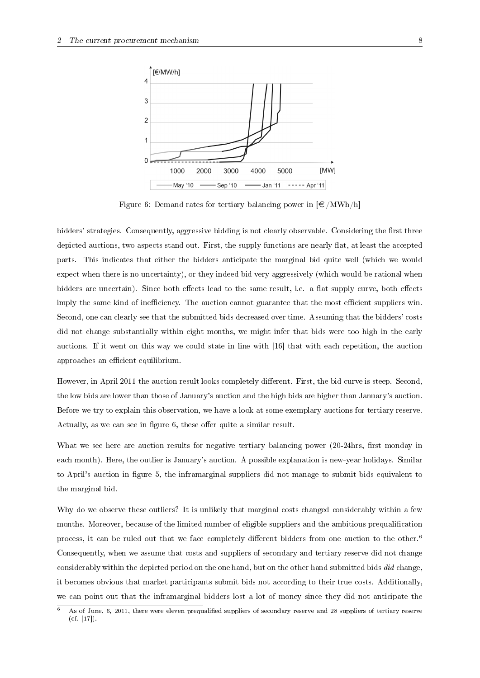

Figure 6: Demand rates for tertiary balancing power in  $\epsilon / MWh/h$ 

bidders' strategies. Consequently, aggressive bidding is not clearly observable. Considering the first three depicted auctions, two aspects stand out. First, the supply functions are nearly flat, at least the accepted parts. This indicates that either the bidders anticipate the marginal bid quite well (which we would expect when there is no uncertainty), or they indeed bid very aggressively (which would be rational when bidders are uncertain). Since both effects lead to the same result, i.e. a flat supply curve, both effects imply the same kind of inefficiency. The auction cannot guarantee that the most efficient suppliers win. Second, one can clearly see that the submitted bids decreased over time. Assuming that the bidders' costs did not change substantially within eight months, we might infer that bids were too high in the early auctions. If it went on this way we could state in line with [16] that with each repetition, the auction approaches an efficient equilibrium.

However, in April 2011 the auction result looks completely different. First, the bid curve is steep. Second, the low bids are lower than those of January's auction and the high bids are higher than January's auction. Before we try to explain this observation, we have a look at some exemplary auctions for tertiary reserve. Actually, as we can see in figure 6, these offer quite a similar result.

What we see here are auction results for negative tertiary balancing power (20-24hrs, first monday in each month). Here, the outlier is January's auction. A possible explanation is new-year holidays. Similar to April's auction in gure 5, the inframarginal suppliers did not manage to submit bids equivalent to the marginal bid.

Why do we observe these outliers? It is unlikely that marginal costs changed considerably within a few months. Moreover, because of the limited number of eligible suppliers and the ambitious prequalication process, it can be ruled out that we face completely different bidders from one auction to the other.<sup>6</sup> Consequently, when we assume that costs and suppliers of secondary and tertiary reserve did not change considerably within the depicted period on the one hand, but on the other hand submitted bids did change, it becomes obvious that market participants submit bids not according to their true costs. Additionally, we can point out that the inframarginal bidders lost a lot of money since they did not anticipate the

<sup>6</sup> As of June, 6, 2011, there were eleven prequalied suppliers of secondary reserve and 28 suppliers of tertiary reserve (cf. [17]).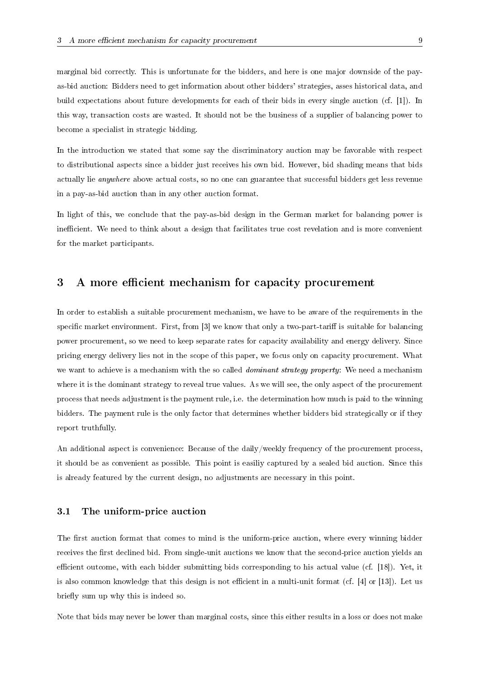marginal bid correctly. This is unfortunate for the bidders, and here is one major downside of the payas-bid auction: Bidders need to get information about other bidders' strategies, asses historical data, and build expectations about future developments for each of their bids in every single auction (cf. [1]). In this way, transaction costs are wasted. It should not be the business of a supplier of balancing power to become a specialist in strategic bidding.

In the introduction we stated that some say the discriminatory auction may be favorable with respect to distributional aspects since a bidder just receives his own bid. However, bid shading means that bids actually lie anywhere above actual costs, so no one can guarantee that successful bidders get less revenue in a pay-as-bid auction than in any other auction format.

In light of this, we conclude that the pay-as-bid design in the German market for balancing power is inefficient. We need to think about a design that facilitates true cost revelation and is more convenient for the market participants.

## 3 A more efficient mechanism for capacity procurement

In order to establish a suitable procurement mechanism, we have to be aware of the requirements in the specific market environment. First, from  $\lceil 3 \rceil$  we know that only a two-part-tariff is suitable for balancing power procurement, so we need to keep separate rates for capacity availability and energy delivery. Since pricing energy delivery lies not in the scope of this paper, we focus only on capacity procurement. What we want to achieve is a mechanism with the so called *dominant strategy property*: We need a mechanism where it is the dominant strategy to reveal true values. As we will see, the only aspect of the procurement process that needs adjustment is the payment rule, i.e. the determination how much is paid to the winning bidders. The payment rule is the only factor that determines whether bidders bid strategically or if they report truthfully.

An additional aspect is convenience: Because of the daily/weekly frequency of the procurement process, it should be as convenient as possible. This point is easiliy captured by a sealed bid auction. Since this is already featured by the current design, no adjustments are necessary in this point.

### 3.1 The uniform-price auction

The first auction format that comes to mind is the uniform-price auction, where every winning bidder receives the first declined bid. From single-unit auctions we know that the second-price auction yields an efficient outcome, with each bidder submitting bids corresponding to his actual value (cf. [18]). Yet, it is also common knowledge that this design is not efficient in a multi-unit format (cf.  $[4]$  or  $[13]$ ). Let us briefly sum up why this is indeed so.

Note that bids may never be lower than marginal costs, since this either results in a loss or does not make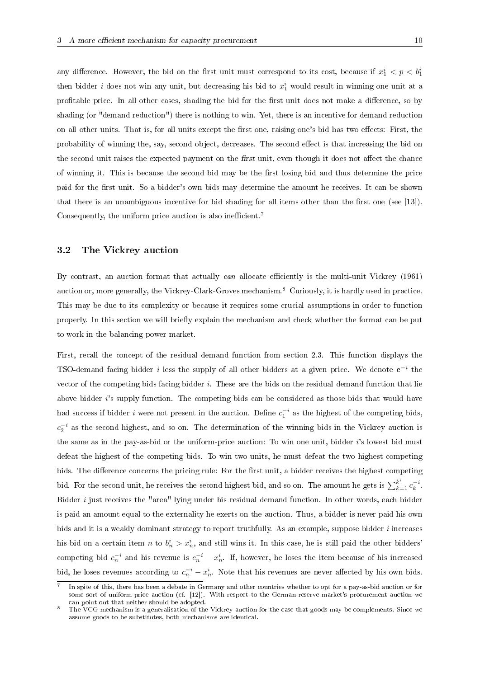any difference. However, the bid on the first unit must correspond to its cost, because if  $x_1^i < p < b_1^i$ then bidder *i* does not win any unit, but decreasing his bid to  $x_1^i$  would result in winning one unit at a profitable price. In all other cases, shading the bid for the first unit does not make a difference, so by shading (or "demand reduction") there is nothing to win. Yet, there is an incentive for demand reduction on all other units. That is, for all units except the first one, raising one's bid has two effects: First, the probability of winning the, say, second object, decreases. The second effect is that increasing the bid on the second unit raises the expected payment on the first unit, even though it does not affect the chance of winning it. This is because the second bid may be the first losing bid and thus determine the price paid for the first unit. So a bidder's own bids may determine the amount he receives. It can be shown that there is an unambiguous incentive for bid shading for all items other than the first one (see [13]). Consequently, the uniform price auction is also inefficient.<sup>7</sup>

## 3.2 The Vickrey auction

By contrast, an auction format that actually can allocate efficiently is the multi-unit Vickrey (1961) auction or, more generally, the Vickrey-Clark-Groves mechanism.<sup>8</sup> Curiously, it is hardly used in practice. This may be due to its complexity or because it requires some crucial assumptions in order to function properly. In this section we will briefly explain the mechanism and check whether the format can be put to work in the balancing power market.

First, recall the concept of the residual demand function from section 2.3. This function displays the TSO-demand facing bidder i less the supply of all other bidders at a given price. We denote  $c^{-i}$  the vector of the competing bids facing bidder  $i$ . These are the bids on the residual demand function that lie above bidder i's supply function. The competing bids can be considered as those bids that would have had success if bidder i were not present in the auction. Define  $c_1^{-i}$  as the highest of the competing bids,  $c_2^{-i}$  as the second highest, and so on. The determination of the winning bids in the Vickrey auction is the same as in the pay-as-bid or the uniform-price auction: To win one unit, bidder i's lowest bid must defeat the highest of the competing bids. To win two units, he must defeat the two highest competing bids. The difference concerns the pricing rule: For the first unit, a bidder receives the highest competing bid. For the second unit, he receives the second highest bid, and so on. The amount he gets is  $\sum_{k=1}^{k^i} c_k^{-i}$ . Bidder *i* just receives the "area" lying under his residual demand function. In other words, each bidder is paid an amount equal to the externality he exerts on the auction. Thus, a bidder is never paid his own bids and it is a weakly dominant strategy to report truthfully. As an example, suppose bidder i increases his bid on a certain item n to  $b_n^i > x_n^i$ , and still wins it. In this case, he is still paid the other bidders' competing bid  $c_n^{-i}$  and his revenue is  $c_n^{-i} - x_n^i$ . If, however, he loses the item because of his increased bid, he loses revenues according to  $c_n^{-i} - x_n^i$ . Note that his revenues are never affected by his own bids.

<sup>7</sup> In spite of this, there has been a debate in Germany and other countries whether to opt for a pay-as-bid auction or for some sort of uniform-price auction (cf. [12]). With respect to the German reserve market's procurement auction we can point out that neither should be adopted.

<sup>8</sup> The VCG mechanism is a generalisation of the Vickrey auction for the case that goods may be complements. Since we assume goods to be substitutes, both mechanisms are identical.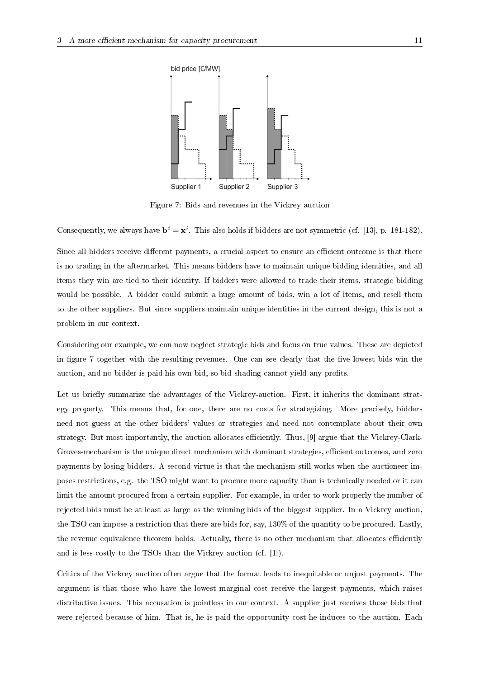

Figure 7: Bids and revenues in the Vickrey auction

Consequently, we always have  $\mathbf{b}^i = \mathbf{x}^i$ . This also holds if bidders are not symmetric (cf. [13], p. 181-182).

Since all bidders receive different payments, a crucial aspect to ensure an efficient outcome is that there is no trading in the aftermarket. This means bidders have to maintain unique bidding identities, and all items they win are tied to their identity. If bidders were allowed to trade their items, strategic bidding would be possible. A bidder could submit a huge amount of bids, win a lot of items, and resell them to the other suppliers. But since suppliers maintain unique identities in the current design, this is not a problem in our context.

Considering our example, we can now neglect strategic bids and focus on true values. These are depicted in figure 7 together with the resulting revenues. One can see clearly that the five lowest bids win the auction, and no bidder is paid his own bid, so bid shading cannot yield any profits.

Let us briefly summarize the advantages of the Vickrey-auction. First, it inherits the dominant strategy property. This means that, for one, there are no costs for strategizing. More precisely, bidders need not guess at the other bidders' values or strategies and need not contemplate about their own strategy. But most importantly, the auction allocates efficiently. Thus, [9] argue that the Vickrey-Clark-Groves-mechanism is the unique direct mechanism with dominant strategies, efficient outcomes, and zero payments by losing bidders. A second virtue is that the mechanism still works when the auctioneer imposes restrictions, e.g. the TSO might want to procure more capacity than is technically needed or it can limit the amount procured from a certain supplier. For example, in order to work properly the number of rejected bids must be at least as large as the winning bids of the biggest supplier. In a Vickrey auction, the TSO can impose a restriction that there are bids for, say, 130% of the quantity to be procured. Lastly, the revenue equivalence theorem holds. Actually, there is no other mechanism that allocates efficiently and is less costly to the TSOs than the Vickrey auction (cf. [1]).

Critics of the Vickrey auction often argue that the format leads to inequitable or unjust payments. The argument is that those who have the lowest marginal cost receive the largest payments, which raises distributive issues. This accusation is pointless in our context. A supplier just receives those bids that were rejected because of him. That is, he is paid the opportunity cost he induces to the auction. Each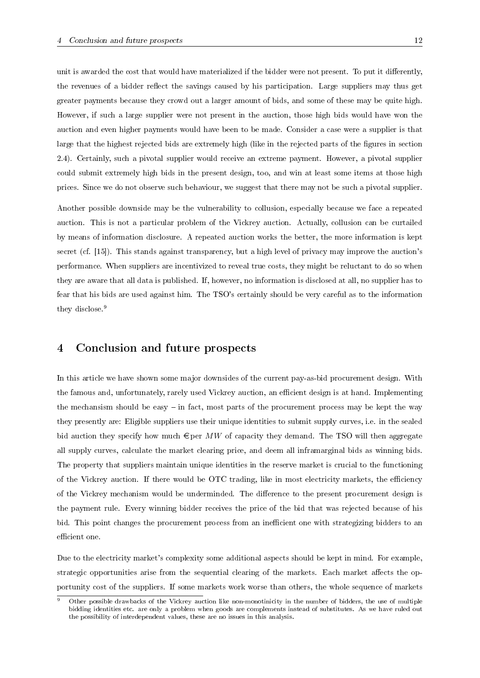unit is awarded the cost that would have materialized if the bidder were not present. To put it differently, the revenues of a bidder reflect the savings caused by his participation. Large suppliers may thus get greater payments because they crowd out a larger amount of bids, and some of these may be quite high. However, if such a large supplier were not present in the auction, those high bids would have won the auction and even higher payments would have been to be made. Consider a case were a supplier is that large that the highest rejected bids are extremely high (like in the rejected parts of the figures in section 2.4). Certainly, such a pivotal supplier would receive an extreme payment. However, a pivotal supplier could submit extremely high bids in the present design, too, and win at least some items at those high prices. Since we do not observe such behaviour, we suggest that there may not be such a pivotal supplier.

Another possible downside may be the vulnerability to collusion, especially because we face a repeated auction. This is not a particular problem of the Vickrey auction. Actually, collusion can be curtailed by means of information disclosure. A repeated auction works the better, the more information is kept secret (cf. [15]). This stands against transparency, but a high level of privacy may improve the auction's performance. When suppliers are incentivized to reveal true costs, they might be reluctant to do so when they are aware that all data is published. If, however, no information is disclosed at all, no supplier has to fear that his bids are used against him. The TSO's certainly should be very careful as to the information they disclose.<sup>9</sup>

# 4 Conclusion and future prospects

In this article we have shown some major downsides of the current pay-as-bid procurement design. With the famous and, unfortunately, rarely used Vickrey auction, an efficient design is at hand. Implementing the mechansism should be easy  $-$  in fact, most parts of the procurement process may be kept the way they presently are: Eligible suppliers use their unique identities to submit supply curves, i.e. in the sealed bid auction they specify how much  $\epsilon$  per MW of capacity they demand. The TSO will then aggregate all supply curves, calculate the market clearing price, and deem all inframarginal bids as winning bids. The property that suppliers maintain unique identities in the reserve market is crucial to the functioning of the Vickrey auction. If there would be OTC trading, like in most electricity markets, the efficiency of the Vickrey mechanism would be underminded. The difference to the present procurement design is the payment rule. Every winning bidder receives the price of the bid that was rejected because of his bid. This point changes the procurement process from an inefficient one with strategizing bidders to an efficient one.

Due to the electricity market's complexity some additional aspects should be kept in mind. For example, strategic opportunities arise from the sequential clearing of the markets. Each market affects the opportunity cost of the suppliers. If some markets work worse than others, the whole sequence of markets

<sup>9</sup> Other possible drawbacks of the Vickrey auction like non-monotinicity in the number of bidders, the use of multiple bidding identities etc. are only a problem when goods are complements instead of substitutes. As we have ruled out the possibility of interdependent values, these are no issues in this analysis.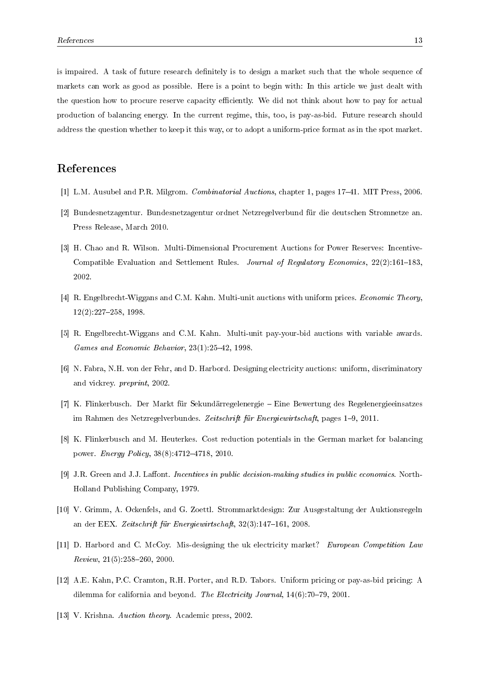is impaired. A task of future research denitely is to design a market such that the whole sequence of markets can work as good as possible. Here is a point to begin with: In this article we just dealt with the question how to procure reserve capacity efficiently. We did not think about how to pay for actual production of balancing energy. In the current regime, this, too, is pay-as-bid. Future research should address the question whether to keep it this way, or to adopt a uniform-price format as in the spot market.

# References

- [1] L.M. Ausubel and P.R. Milgrom. *Combinatorial Auctions*, chapter 1, pages 17–41. MIT Press, 2006.
- [2] Bundesnetzagentur. Bundesnetzagentur ordnet Netzregelverbund für die deutschen Stromnetze an. Press Release, March 2010.
- [3] H. Chao and R. Wilson. Multi-Dimensional Procurement Auctions for Power Reserves: Incentive-Compatible Evaluation and Settlement Rules. Journal of Regulatory Economics,  $22(2):161-183$ , 2002.
- [4] R. Engelbrecht-Wiggans and C.M. Kahn. Multi-unit auctions with uniform prices. Economic Theory, 12(2):227258, 1998.
- [5] R. Engelbrecht-Wiggans and C.M. Kahn. Multi-unit pay-your-bid auctions with variable awards. Games and Economic Behavior,  $23(1):25-42$ , 1998.
- [6] N. Fabra, N.H. von der Fehr, and D. Harbord. Designing electricity auctions: uniform, discriminatory and vickrey. preprint, 2002.
- [7] K. Flinkerbusch. Der Markt für Sekundärregelenergie Eine Bewertung des Regelenergieeinsatzes im Rahmen des Netzregelverbundes. Zeitschrift für Energiewirtschaft, pages 1–9, 2011.
- [8] K. Flinkerbusch and M. Heuterkes. Cost reduction potentials in the German market for balancing power. *Energy Policy*,  $38(8)$ :4712-4718, 2010.
- $[9]$  J.R. Green and J.J. Laffont. Incentives in public decision-making studies in public economics. North-Holland Publishing Company, 1979.
- [10] V. Grimm, A. Ockenfels, and G. Zoettl. Strommarktdesign: Zur Ausgestaltung der Auktionsregeln an der EEX. Zeitschrift für Energiewirtschaft,  $32(3):147-161$ , 2008.
- [11] D. Harbord and C. McCoy. Mis-designing the uk electricity market? European Competition Law  $Review, 21(5):258-260, 2000$
- [12] A.E. Kahn, P.C. Cramton, R.H. Porter, and R.D. Tabors. Uniform pricing or pay-as-bid pricing: A dilemma for california and beyond. The Electricity Journal, 14(6):70-79, 2001.
- [13] V. Krishna. Auction theory. Academic press, 2002.